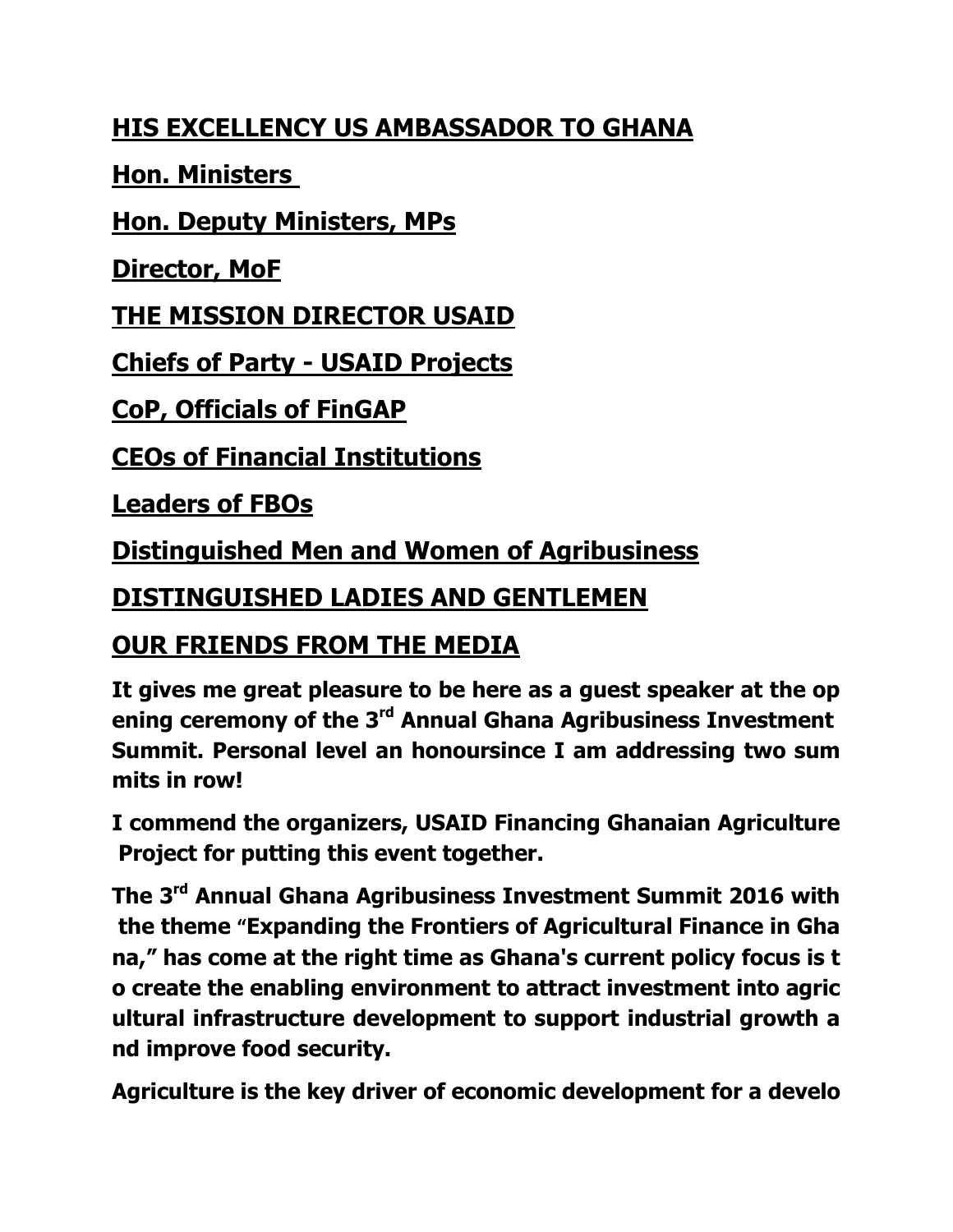## **HIS EXCELLENCY US AMBASSADOR TO GHANA**

**Hon. Ministers** 

**Hon. Deputy Ministers, MPs**

**Director, MoF**

**THE MISSION DIRECTOR USAID**

**Chiefs of Party - USAID Projects**

**CoP, Officials of FinGAP**

**CEOs of Financial Institutions**

**Leaders of FBOs**

**Distinguished Men and Women of Agribusiness**

## **DISTINGUISHED LADIES AND GENTLEMEN**

## **OUR FRIENDS FROM THE MEDIA**

**It gives me great pleasure to be here as a guest speaker at the op ening ceremony of the 3rd Annual Ghana Agribusiness Investment Summit. Personal level an honoursince I am addressing two sum mits in row!**

**I commend the organizers, USAID Financing Ghanaian Agriculture Project for putting this event together.**

**The 3rd Annual Ghana Agribusiness Investment Summit 2016 with the theme "Expanding the Frontiers of Agricultural Finance in Gha na," has come at the right time as Ghana's current policy focus is t o create the enabling environment to attract investment into agric ultural infrastructure development to support industrial growth a nd improve food security.** 

**Agriculture is the key driver of economic development for a develo**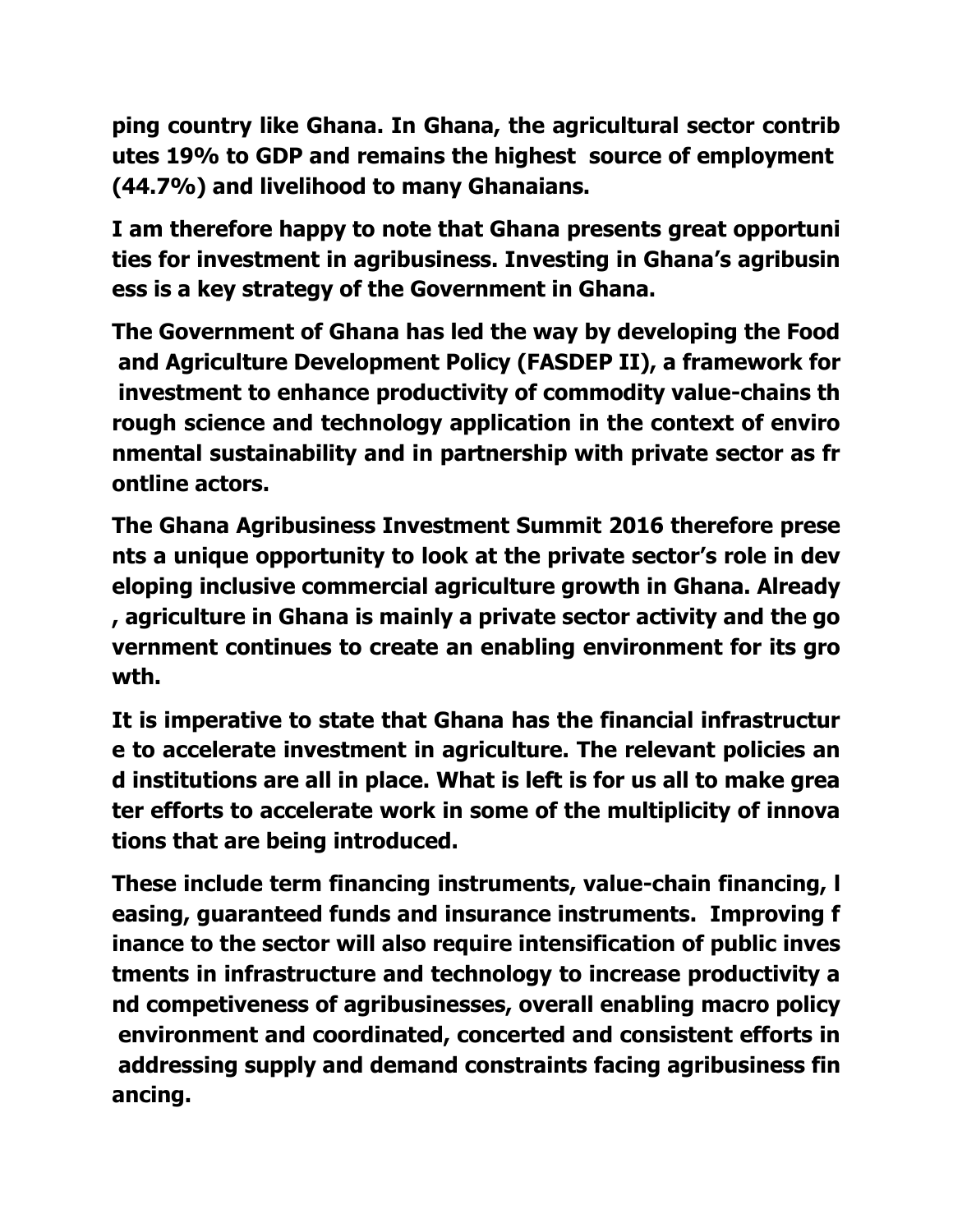**ping country like Ghana. In Ghana, the agricultural sector contrib utes 19% to GDP and remains the highest source of employment (44.7%) and livelihood to many Ghanaians.** 

**I am therefore happy to note that Ghana presents great opportuni ties for investment in agribusiness. Investing in Ghana's agribusin ess is a key strategy of the Government in Ghana.** 

**The Government of Ghana has led the way by developing the Food and Agriculture Development Policy (FASDEP II), a framework for investment to enhance productivity of commodity value-chains th rough science and technology application in the context of enviro nmental sustainability and in partnership with private sector as fr ontline actors.**

**The Ghana Agribusiness Investment Summit 2016 therefore prese nts a unique opportunity to look at the private sector's role in dev eloping inclusive commercial agriculture growth in Ghana. Already , agriculture in Ghana is mainly a private sector activity and the go vernment continues to create an enabling environment for its gro wth.** 

**It is imperative to state that Ghana has the financial infrastructur e to accelerate investment in agriculture. The relevant policies an d institutions are all in place. What is left is for us all to make grea ter efforts to accelerate work in some of the multiplicity of innova tions that are being introduced.** 

**These include term financing instruments, value-chain financing, l easing, guaranteed funds and insurance instruments. Improving f inance to the sector will also require intensification of public inves tments in infrastructure and technology to increase productivity a nd competiveness of agribusinesses, overall enabling macro policy environment and coordinated, concerted and consistent efforts in addressing supply and demand constraints facing agribusiness fin ancing.**